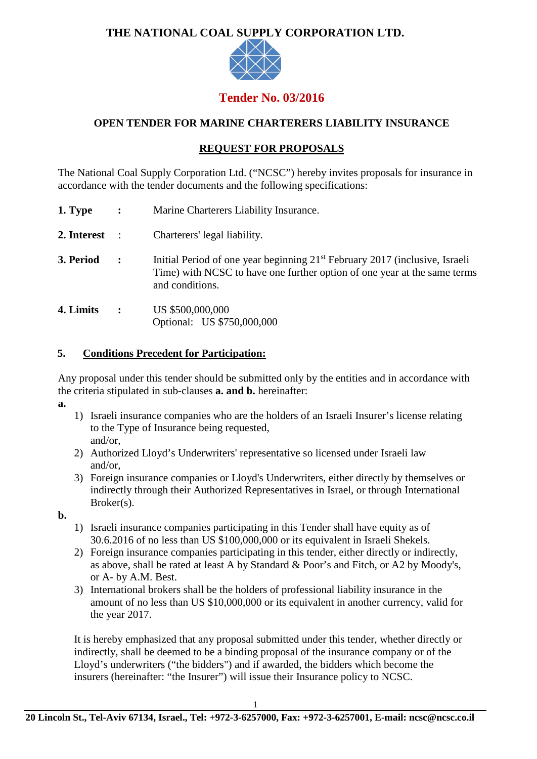## **THE NATIONAL COAL SUPPLY CORPORATION LTD.**



# **Tender No. 03/2016**

## **OPEN TENDER FOR MARINE CHARTERERS LIABILITY INSURANCE**

## **REQUEST FOR PROPOSALS**

The National Coal Supply Corporation Ltd. ("NCSC") hereby invites proposals for insurance in accordance with the tender documents and the following specifications:

- **1. Type :** Marine Charterers Liability Insurance.
- **2. Interest** : Charterers' legal liability.
- **3. Period :** Initial Period of one year beginning 21<sup>st</sup> February 2017 (inclusive, Israeli Time) with NCSC to have one further option of one year at the same terms and conditions.
- **4. Limits :** US \$500,000,000 Optional: US \$750,000,000

#### **5. Conditions Precedent for Participation:**

Any proposal under this tender should be submitted only by the entities and in accordance with the criteria stipulated in sub-clauses **a. and b.** hereinafter:

- **a.**
- 1) Israeli insurance companies who are the holders of an Israeli Insurer's license relating to the Type of Insurance being requested, and/or,
- 2) Authorized Lloyd's Underwriters' representative so licensed under Israeli law and/or,
- 3) Foreign insurance companies or Lloyd's Underwriters, either directly by themselves or indirectly through their Authorized Representatives in Israel, or through International Broker(s).
- **b.**
- 1) Israeli insurance companies participating in this Tender shall have equity as of 30.6.2016 of no less than US \$100,000,000 or its equivalent in Israeli Shekels.
- 2) Foreign insurance companies participating in this tender, either directly or indirectly, as above, shall be rated at least A by Standard & Poor's and Fitch, or A2 by Moody's, or A- by A.M. Best.
- 3) International brokers shall be the holders of professional liability insurance in the amount of no less than US \$10,000,000 or its equivalent in another currency, valid for the year 2017.

It is hereby emphasized that any proposal submitted under this tender, whether directly or indirectly, shall be deemed to be a binding proposal of the insurance company or of the Lloyd's underwriters ("the bidders") and if awarded, the bidders which become the insurers (hereinafter: "the Insurer") will issue their Insurance policy to NCSC.